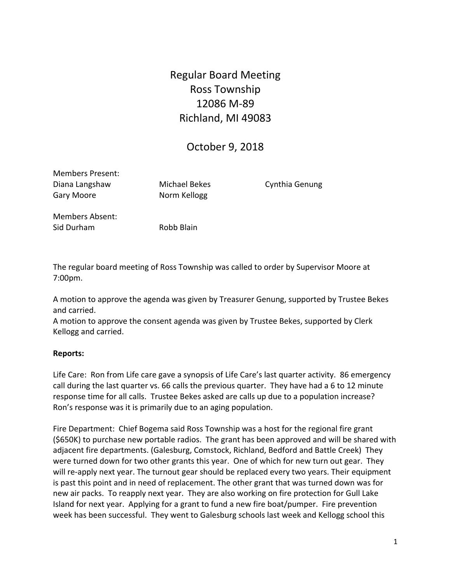# Regular Board Meeting Ross Township 12086 M‐89 Richland, MI 49083

# October 9, 2018

Members Present: Diana Langshaw Michael Bekes Cynthia Genung Gary Moore  **Norm Kellogg** 

Members Absent: Sid Durham Robb Blain

The regular board meeting of Ross Township was called to order by Supervisor Moore at 7:00pm.

A motion to approve the agenda was given by Treasurer Genung, supported by Trustee Bekes and carried.

A motion to approve the consent agenda was given by Trustee Bekes, supported by Clerk Kellogg and carried.

#### **Reports:**

Life Care: Ron from Life care gave a synopsis of Life Care's last quarter activity. 86 emergency call during the last quarter vs. 66 calls the previous quarter. They have had a 6 to 12 minute response time for all calls. Trustee Bekes asked are calls up due to a population increase? Ron's response was it is primarily due to an aging population.

Fire Department: Chief Bogema said Ross Township was a host for the regional fire grant (\$650K) to purchase new portable radios. The grant has been approved and will be shared with adjacent fire departments. (Galesburg, Comstock, Richland, Bedford and Battle Creek) They were turned down for two other grants this year. One of which for new turn out gear. They will re-apply next year. The turnout gear should be replaced every two years. Their equipment is past this point and in need of replacement. The other grant that was turned down was for new air packs. To reapply next year. They are also working on fire protection for Gull Lake Island for next year. Applying for a grant to fund a new fire boat/pumper. Fire prevention week has been successful. They went to Galesburg schools last week and Kellogg school this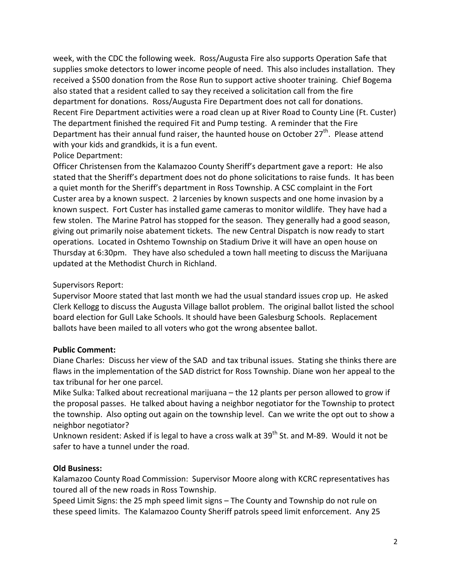week, with the CDC the following week. Ross/Augusta Fire also supports Operation Safe that supplies smoke detectors to lower income people of need. This also includes installation. They received a \$500 donation from the Rose Run to support active shooter training. Chief Bogema also stated that a resident called to say they received a solicitation call from the fire department for donations. Ross/Augusta Fire Department does not call for donations. Recent Fire Department activities were a road clean up at River Road to County Line (Ft. Custer) The department finished the required Fit and Pump testing. A reminder that the Fire Department has their annual fund raiser, the haunted house on October  $27<sup>th</sup>$ . Please attend with your kids and grandkids, it is a fun event.

#### Police Department:

Officer Christensen from the Kalamazoo County Sheriff's department gave a report: He also stated that the Sheriff's department does not do phone solicitations to raise funds. It has been a quiet month for the Sheriff's department in Ross Township. A CSC complaint in the Fort Custer area by a known suspect. 2 larcenies by known suspects and one home invasion by a known suspect. Fort Custer has installed game cameras to monitor wildlife. They have had a few stolen. The Marine Patrol has stopped for the season. They generally had a good season, giving out primarily noise abatement tickets. The new Central Dispatch is now ready to start operations. Located in Oshtemo Township on Stadium Drive it will have an open house on Thursday at 6:30pm. They have also scheduled a town hall meeting to discuss the Marijuana updated at the Methodist Church in Richland.

#### Supervisors Report:

Supervisor Moore stated that last month we had the usual standard issues crop up. He asked Clerk Kellogg to discuss the Augusta Village ballot problem. The original ballot listed the school board election for Gull Lake Schools. It should have been Galesburg Schools. Replacement ballots have been mailed to all voters who got the wrong absentee ballot.

# **Public Comment:**

Diane Charles: Discuss her view of the SAD and tax tribunal issues. Stating she thinks there are flaws in the implementation of the SAD district for Ross Township. Diane won her appeal to the tax tribunal for her one parcel.

Mike Sulka: Talked about recreational marijuana – the 12 plants per person allowed to grow if the proposal passes. He talked about having a neighbor negotiator for the Township to protect the township. Also opting out again on the township level. Can we write the opt out to show a neighbor negotiator?

Unknown resident: Asked if is legal to have a cross walk at 39<sup>th</sup> St. and M-89. Would it not be safer to have a tunnel under the road.

# **Old Business:**

Kalamazoo County Road Commission: Supervisor Moore along with KCRC representatives has toured all of the new roads in Ross Township.

Speed Limit Signs: the 25 mph speed limit signs – The County and Township do not rule on these speed limits. The Kalamazoo County Sheriff patrols speed limit enforcement. Any 25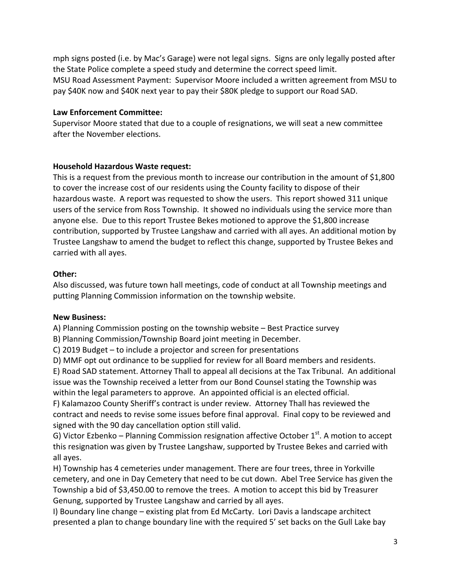mph signs posted (i.e. by Mac's Garage) were not legal signs. Signs are only legally posted after the State Police complete a speed study and determine the correct speed limit. MSU Road Assessment Payment: Supervisor Moore included a written agreement from MSU to pay \$40K now and \$40K next year to pay their \$80K pledge to support our Road SAD.

#### **Law Enforcement Committee:**

Supervisor Moore stated that due to a couple of resignations, we will seat a new committee after the November elections.

# **Household Hazardous Waste request:**

This is a request from the previous month to increase our contribution in the amount of \$1,800 to cover the increase cost of our residents using the County facility to dispose of their hazardous waste. A report was requested to show the users. This report showed 311 unique users of the service from Ross Township. It showed no individuals using the service more than anyone else. Due to this report Trustee Bekes motioned to approve the \$1,800 increase contribution, supported by Trustee Langshaw and carried with all ayes. An additional motion by Trustee Langshaw to amend the budget to reflect this change, supported by Trustee Bekes and carried with all ayes.

# **Other:**

Also discussed, was future town hall meetings, code of conduct at all Township meetings and putting Planning Commission information on the township website.

# **New Business:**

A) Planning Commission posting on the township website – Best Practice survey

B) Planning Commission/Township Board joint meeting in December.

C) 2019 Budget – to include a projector and screen for presentations

D) MMF opt out ordinance to be supplied for review for all Board members and residents.

E) Road SAD statement. Attorney Thall to appeal all decisions at the Tax Tribunal. An additional issue was the Township received a letter from our Bond Counsel stating the Township was within the legal parameters to approve. An appointed official is an elected official.

F) Kalamazoo County Sheriff's contract is under review. Attorney Thall has reviewed the contract and needs to revise some issues before final approval. Final copy to be reviewed and signed with the 90 day cancellation option still valid.

G) Victor Ezbenko – Planning Commission resignation affective October  $1<sup>st</sup>$ . A motion to accept this resignation was given by Trustee Langshaw, supported by Trustee Bekes and carried with all ayes.

H) Township has 4 cemeteries under management. There are four trees, three in Yorkville cemetery, and one in Day Cemetery that need to be cut down. Abel Tree Service has given the Township a bid of \$3,450.00 to remove the trees. A motion to accept this bid by Treasurer Genung, supported by Trustee Langshaw and carried by all ayes.

I) Boundary line change – existing plat from Ed McCarty. Lori Davis a landscape architect presented a plan to change boundary line with the required 5' set backs on the Gull Lake bay